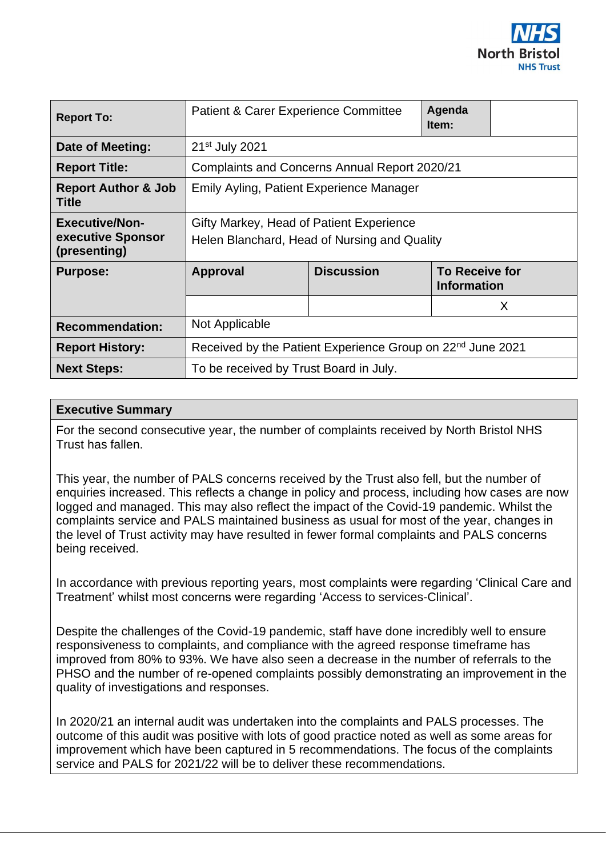

| <b>Report To:</b>                                          | Patient & Carer Experience Committee                                                     | Agenda<br>Item:   |                                             |   |  |  |
|------------------------------------------------------------|------------------------------------------------------------------------------------------|-------------------|---------------------------------------------|---|--|--|
| <b>Date of Meeting:</b>                                    | 21 <sup>st</sup> July 2021                                                               |                   |                                             |   |  |  |
| <b>Report Title:</b>                                       | <b>Complaints and Concerns Annual Report 2020/21</b>                                     |                   |                                             |   |  |  |
| <b>Report Author &amp; Job</b><br>Title                    | Emily Ayling, Patient Experience Manager                                                 |                   |                                             |   |  |  |
| <b>Executive/Non-</b><br>executive Sponsor<br>(presenting) | Gifty Markey, Head of Patient Experience<br>Helen Blanchard, Head of Nursing and Quality |                   |                                             |   |  |  |
| <b>Purpose:</b>                                            | Approval                                                                                 | <b>Discussion</b> | <b>To Receive for</b><br><b>Information</b> |   |  |  |
|                                                            |                                                                                          |                   |                                             | X |  |  |
| <b>Recommendation:</b>                                     | Not Applicable                                                                           |                   |                                             |   |  |  |
| <b>Report History:</b>                                     | Received by the Patient Experience Group on 22 <sup>nd</sup> June 2021                   |                   |                                             |   |  |  |
| <b>Next Steps:</b>                                         | To be received by Trust Board in July.                                                   |                   |                                             |   |  |  |

#### **Executive Summary**

For the second consecutive year, the number of complaints received by North Bristol NHS Trust has fallen.

This year, the number of PALS concerns received by the Trust also fell, but the number of enquiries increased. This reflects a change in policy and process, including how cases are now logged and managed. This may also reflect the impact of the Covid-19 pandemic. Whilst the complaints service and PALS maintained business as usual for most of the year, changes in the level of Trust activity may have resulted in fewer formal complaints and PALS concerns being received.

In accordance with previous reporting years, most complaints were regarding 'Clinical Care and Treatment' whilst most concerns were regarding 'Access to services-Clinical'.

Despite the challenges of the Covid-19 pandemic, staff have done incredibly well to ensure responsiveness to complaints, and compliance with the agreed response timeframe has improved from 80% to 93%. We have also seen a decrease in the number of referrals to the PHSO and the number of re-opened complaints possibly demonstrating an improvement in the quality of investigations and responses.

In 2020/21 an internal audit was undertaken into the complaints and PALS processes. The outcome of this audit was positive with lots of good practice noted as well as some areas for improvement which have been captured in 5 recommendations. The focus of the complaints service and PALS for 2021/22 will be to deliver these recommendations.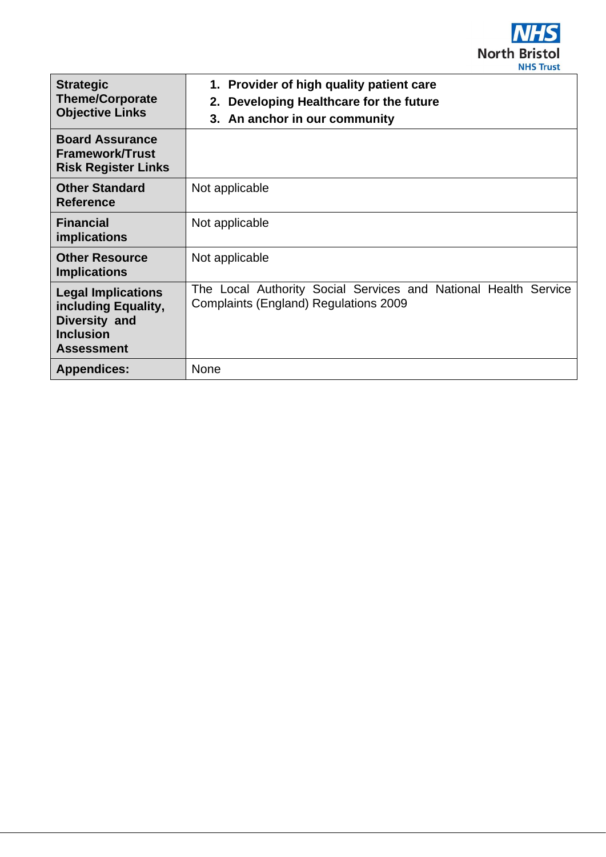

| <b>Strategic</b><br><b>Theme/Corporate</b><br><b>Objective Links</b>                                       | 1. Provider of high quality patient care<br>2. Developing Healthcare for the future<br>3. An anchor in our community |
|------------------------------------------------------------------------------------------------------------|----------------------------------------------------------------------------------------------------------------------|
| <b>Board Assurance</b><br><b>Framework/Trust</b><br><b>Risk Register Links</b>                             |                                                                                                                      |
| <b>Other Standard</b><br><b>Reference</b>                                                                  | Not applicable                                                                                                       |
| <b>Financial</b><br><i>implications</i>                                                                    | Not applicable                                                                                                       |
| <b>Other Resource</b><br><b>Implications</b>                                                               | Not applicable                                                                                                       |
| <b>Legal Implications</b><br>including Equality,<br>Diversity and<br><b>Inclusion</b><br><b>Assessment</b> | The Local Authority Social Services and National Health Service<br>Complaints (England) Regulations 2009             |
| <b>Appendices:</b>                                                                                         | <b>None</b>                                                                                                          |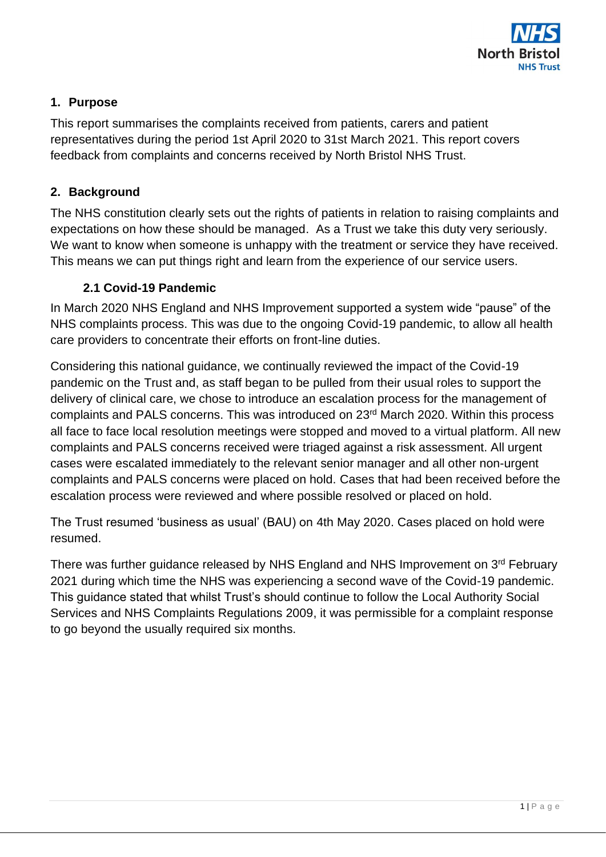

## **1. Purpose**

This report summarises the complaints received from patients, carers and patient representatives during the period 1st April 2020 to 31st March 2021. This report covers feedback from complaints and concerns received by North Bristol NHS Trust.

# **2. Background**

The NHS constitution clearly sets out the rights of patients in relation to raising complaints and expectations on how these should be managed. As a Trust we take this duty very seriously. We want to know when someone is unhappy with the treatment or service they have received. This means we can put things right and learn from the experience of our service users.

# **2.1 Covid-19 Pandemic**

In March 2020 NHS England and NHS Improvement supported a system wide "pause" of the NHS complaints process. This was due to the ongoing Covid-19 pandemic, to allow all health care providers to concentrate their efforts on front-line duties.

Considering this national guidance, we continually reviewed the impact of the Covid-19 pandemic on the Trust and, as staff began to be pulled from their usual roles to support the delivery of clinical care, we chose to introduce an escalation process for the management of complaints and PALS concerns. This was introduced on 23<sup>rd</sup> March 2020. Within this process all face to face local resolution meetings were stopped and moved to a virtual platform. All new complaints and PALS concerns received were triaged against a risk assessment. All urgent cases were escalated immediately to the relevant senior manager and all other non-urgent complaints and PALS concerns were placed on hold. Cases that had been received before the escalation process were reviewed and where possible resolved or placed on hold.

The Trust resumed 'business as usual' (BAU) on 4th May 2020. Cases placed on hold were resumed.

There was further guidance released by NHS England and NHS Improvement on 3<sup>rd</sup> February 2021 during which time the NHS was experiencing a second wave of the Covid-19 pandemic. This guidance stated that whilst Trust's should continue to follow the Local Authority Social Services and NHS Complaints Regulations 2009, it was permissible for a complaint response to go beyond the usually required six months.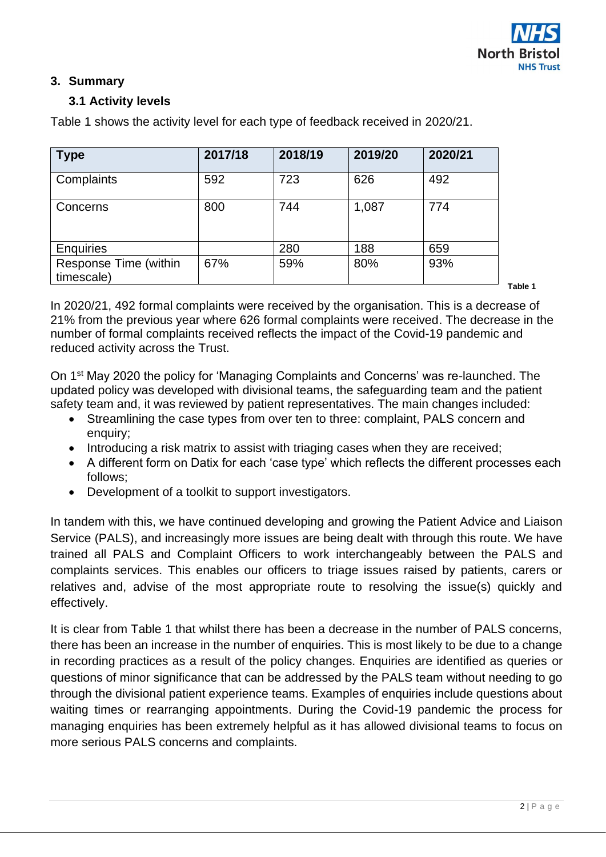

## **3. Summary**

### **3.1 Activity levels**

| 2017/18 | 2018/19 | 2019/20 | 2020/21 |
|---------|---------|---------|---------|
| 592     | 723     | 626     | 492     |
| 800     | 744     | 1,087   | 774     |
|         | 280     | 188     | 659     |
| 67%     | 59%     | 80%     | 93%     |
|         |         |         |         |

Table 1 shows the activity level for each type of feedback received in 2020/21.

In 2020/21, 492 formal complaints were received by the organisation. This is a decrease of 21% from the previous year where 626 formal complaints were received. The decrease in the number of formal complaints received reflects the impact of the Covid-19 pandemic and reduced activity across the Trust.

On 1st May 2020 the policy for 'Managing Complaints and Concerns' was re-launched. The updated policy was developed with divisional teams, the safeguarding team and the patient safety team and, it was reviewed by patient representatives. The main changes included:

- Streamlining the case types from over ten to three: complaint, PALS concern and enquiry;
- Introducing a risk matrix to assist with triaging cases when they are received;
- A different form on Datix for each 'case type' which reflects the different processes each follows;
- Development of a toolkit to support investigators.

In tandem with this, we have continued developing and growing the Patient Advice and Liaison Service (PALS), and increasingly more issues are being dealt with through this route. We have trained all PALS and Complaint Officers to work interchangeably between the PALS and complaints services. This enables our officers to triage issues raised by patients, carers or relatives and, advise of the most appropriate route to resolving the issue(s) quickly and effectively.

It is clear from Table 1 that whilst there has been a decrease in the number of PALS concerns, there has been an increase in the number of enquiries. This is most likely to be due to a change in recording practices as a result of the policy changes. Enquiries are identified as queries or questions of minor significance that can be addressed by the PALS team without needing to go through the divisional patient experience teams. Examples of enquiries include questions about waiting times or rearranging appointments. During the Covid-19 pandemic the process for managing enquiries has been extremely helpful as it has allowed divisional teams to focus on more serious PALS concerns and complaints.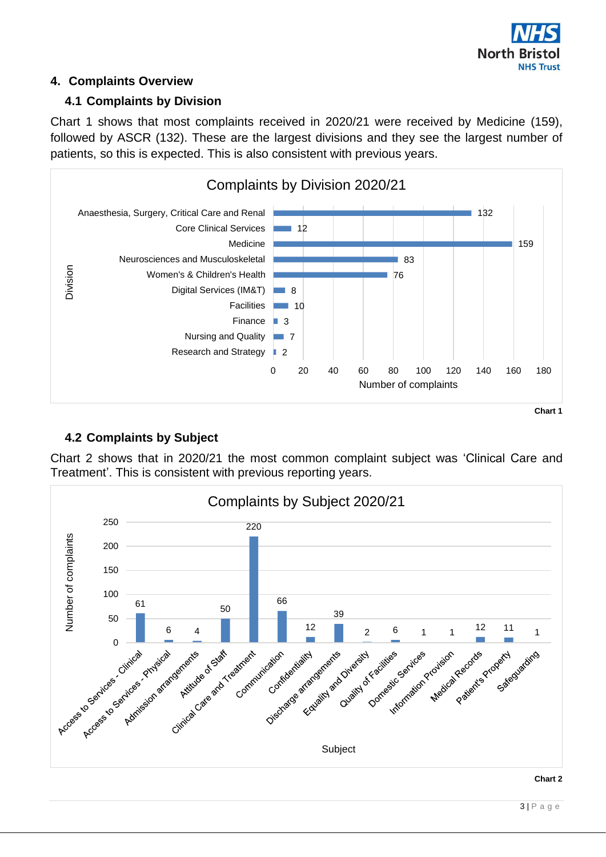

# **4. Complaints Overview**

# **4.1 Complaints by Division**

Chart 1 shows that most complaints received in 2020/21 were received by Medicine (159), followed by ASCR (132). These are the largest divisions and they see the largest number of patients, so this is expected. This is also consistent with previous years.



# **4.2 Complaints by Subject**

Chart 2 shows that in 2020/21 the most common complaint subject was 'Clinical Care and Treatment'. This is consistent with previous reporting years.

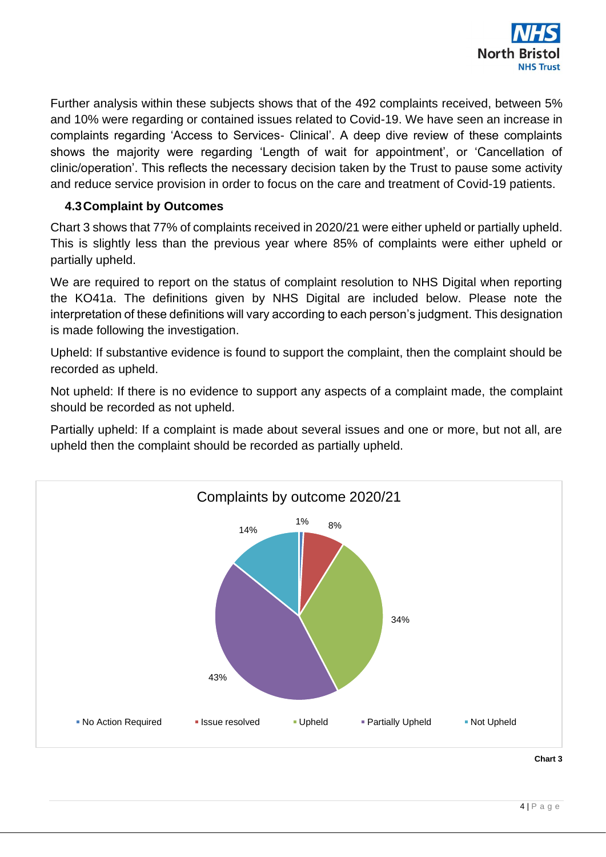

Further analysis within these subjects shows that of the 492 complaints received, between 5% and 10% were regarding or contained issues related to Covid-19. We have seen an increase in complaints regarding 'Access to Services- Clinical'. A deep dive review of these complaints shows the majority were regarding 'Length of wait for appointment', or 'Cancellation of clinic/operation'. This reflects the necessary decision taken by the Trust to pause some activity and reduce service provision in order to focus on the care and treatment of Covid-19 patients.

# **4.3Complaint by Outcomes**

Chart 3 shows that 77% of complaints received in 2020/21 were either upheld or partially upheld. This is slightly less than the previous year where 85% of complaints were either upheld or partially upheld.

We are required to report on the status of complaint resolution to NHS Digital when reporting the KO41a. The definitions given by NHS Digital are included below. Please note the interpretation of these definitions will vary according to each person's judgment. This designation is made following the investigation.

Upheld: If substantive evidence is found to support the complaint, then the complaint should be recorded as upheld.

Not upheld: If there is no evidence to support any aspects of a complaint made, the complaint should be recorded as not upheld.

Partially upheld: If a complaint is made about several issues and one or more, but not all, are upheld then the complaint should be recorded as partially upheld.



**Chart 3**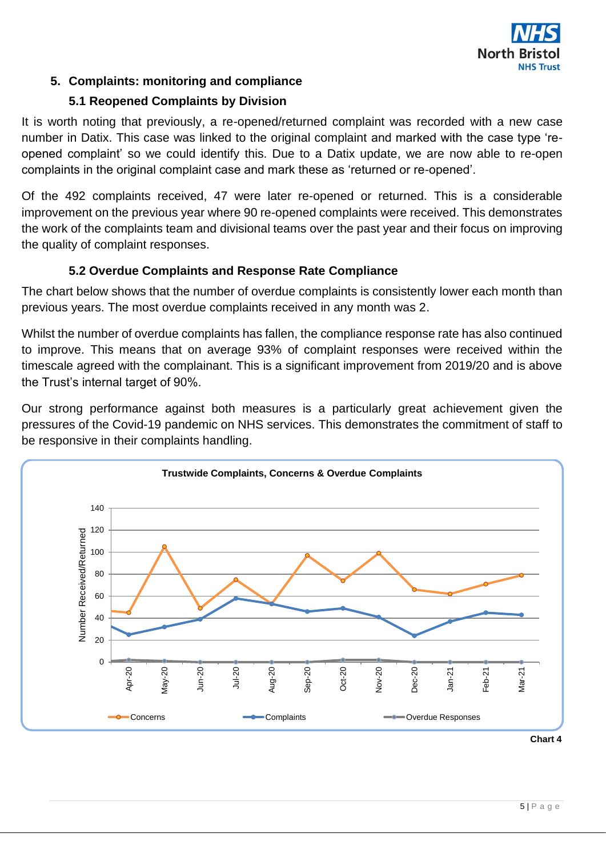

# **5. Complaints: monitoring and compliance**

## **5.1 Reopened Complaints by Division**

It is worth noting that previously, a re-opened/returned complaint was recorded with a new case number in Datix. This case was linked to the original complaint and marked with the case type 'reopened complaint' so we could identify this. Due to a Datix update, we are now able to re-open complaints in the original complaint case and mark these as 'returned or re-opened'.

Of the 492 complaints received, 47 were later re-opened or returned. This is a considerable improvement on the previous year where 90 re-opened complaints were received. This demonstrates the work of the complaints team and divisional teams over the past year and their focus on improving the quality of complaint responses.

# **5.2 Overdue Complaints and Response Rate Compliance**

The chart below shows that the number of overdue complaints is consistently lower each month than previous years. The most overdue complaints received in any month was 2.

Whilst the number of overdue complaints has fallen, the compliance response rate has also continued to improve. This means that on average 93% of complaint responses were received within the timescale agreed with the complainant. This is a significant improvement from 2019/20 and is above the Trust's internal target of 90%.

Our strong performance against both measures is a particularly great achievement given the pressures of the Covid-19 pandemic on NHS services. This demonstrates the commitment of staff to be responsive in their complaints handling.

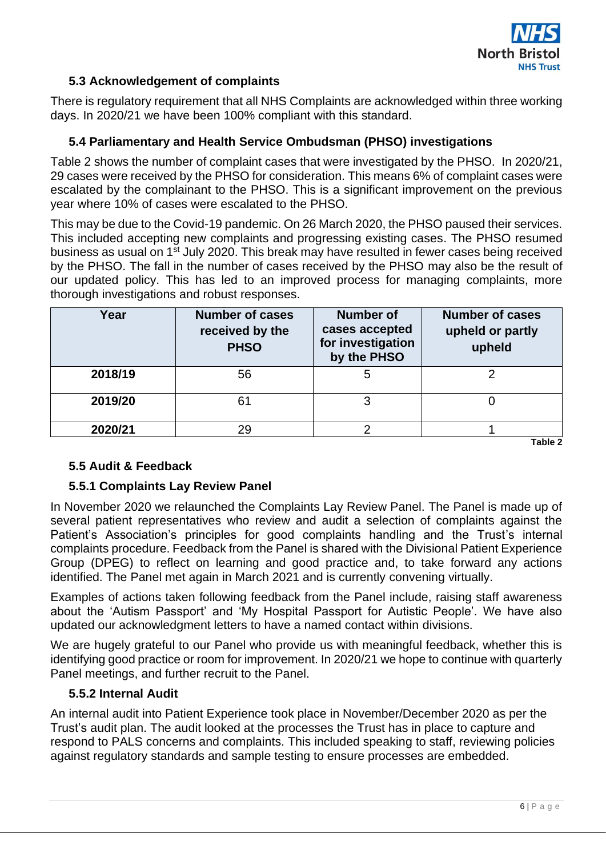

## **5.3 Acknowledgement of complaints**

There is regulatory requirement that all NHS Complaints are acknowledged within three working days. In 2020/21 we have been 100% compliant with this standard.

# **5.4 Parliamentary and Health Service Ombudsman (PHSO) investigations**

Table 2 shows the number of complaint cases that were investigated by the PHSO. In 2020/21, 29 cases were received by the PHSO for consideration. This means 6% of complaint cases were escalated by the complainant to the PHSO. This is a significant improvement on the previous year where 10% of cases were escalated to the PHSO.

This may be due to the Covid-19 pandemic. On 26 March 2020, the PHSO paused their services. This included accepting new complaints and progressing existing cases. The PHSO resumed business as usual on 1<sup>st</sup> July 2020. This break may have resulted in fewer cases being received by the PHSO. The fall in the number of cases received by the PHSO may also be the result of our updated policy. This has led to an improved process for managing complaints, more thorough investigations and robust responses.

| Year    | <b>Number of cases</b><br>received by the<br><b>PHSO</b> | <b>Number of</b><br>cases accepted<br>for investigation<br>by the PHSO | <b>Number of cases</b><br>upheld or partly<br>upheld |
|---------|----------------------------------------------------------|------------------------------------------------------------------------|------------------------------------------------------|
| 2018/19 | 56                                                       | 5                                                                      |                                                      |
| 2019/20 | 61                                                       |                                                                        |                                                      |
| 2020/21 | 29                                                       | າ                                                                      |                                                      |

**Table 2** 

## **5.5 Audit & Feedback**

#### **5.5.1 Complaints Lay Review Panel**

In November 2020 we relaunched the Complaints Lay Review Panel. The Panel is made up of several patient representatives who review and audit a selection of complaints against the Patient's Association's principles for good complaints handling and the Trust's internal complaints procedure. Feedback from the Panel is shared with the Divisional Patient Experience Group (DPEG) to reflect on learning and good practice and, to take forward any actions identified. The Panel met again in March 2021 and is currently convening virtually.

Examples of actions taken following feedback from the Panel include, raising staff awareness about the 'Autism Passport' and 'My Hospital Passport for Autistic People'. We have also updated our acknowledgment letters to have a named contact within divisions.

We are hugely grateful to our Panel who provide us with meaningful feedback, whether this is identifying good practice or room for improvement. In 2020/21 we hope to continue with quarterly Panel meetings, and further recruit to the Panel.

#### **5.5.2 Internal Audit**

An internal audit into Patient Experience took place in November/December 2020 as per the Trust's audit plan. The audit looked at the processes the Trust has in place to capture and respond to PALS concerns and complaints. This included speaking to staff, reviewing policies against regulatory standards and sample testing to ensure processes are embedded.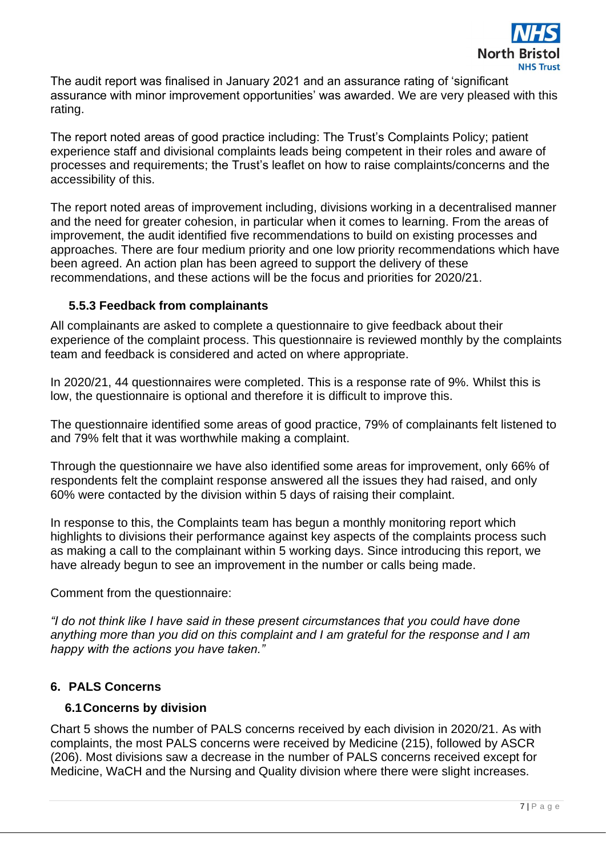

The audit report was finalised in January 2021 and an assurance rating of 'significant assurance with minor improvement opportunities' was awarded. We are very pleased with this rating.

The report noted areas of good practice including: The Trust's Complaints Policy; patient experience staff and divisional complaints leads being competent in their roles and aware of processes and requirements; the Trust's leaflet on how to raise complaints/concerns and the accessibility of this.

The report noted areas of improvement including, divisions working in a decentralised manner and the need for greater cohesion, in particular when it comes to learning. From the areas of improvement, the audit identified five recommendations to build on existing processes and approaches. There are four medium priority and one low priority recommendations which have been agreed. An action plan has been agreed to support the delivery of these recommendations, and these actions will be the focus and priorities for 2020/21.

### **5.5.3 Feedback from complainants**

All complainants are asked to complete a questionnaire to give feedback about their experience of the complaint process. This questionnaire is reviewed monthly by the complaints team and feedback is considered and acted on where appropriate.

In 2020/21, 44 questionnaires were completed. This is a response rate of 9%. Whilst this is low, the questionnaire is optional and therefore it is difficult to improve this.

The questionnaire identified some areas of good practice, 79% of complainants felt listened to and 79% felt that it was worthwhile making a complaint.

Through the questionnaire we have also identified some areas for improvement, only 66% of respondents felt the complaint response answered all the issues they had raised, and only 60% were contacted by the division within 5 days of raising their complaint.

In response to this, the Complaints team has begun a monthly monitoring report which highlights to divisions their performance against key aspects of the complaints process such as making a call to the complainant within 5 working days. Since introducing this report, we have already begun to see an improvement in the number or calls being made.

Comment from the questionnaire:

*"I do not think like I have said in these present circumstances that you could have done anything more than you did on this complaint and I am grateful for the response and I am happy with the actions you have taken."*

#### **6. PALS Concerns**

#### **6.1Concerns by division**

Chart 5 shows the number of PALS concerns received by each division in 2020/21. As with complaints, the most PALS concerns were received by Medicine (215), followed by ASCR (206). Most divisions saw a decrease in the number of PALS concerns received except for Medicine, WaCH and the Nursing and Quality division where there were slight increases.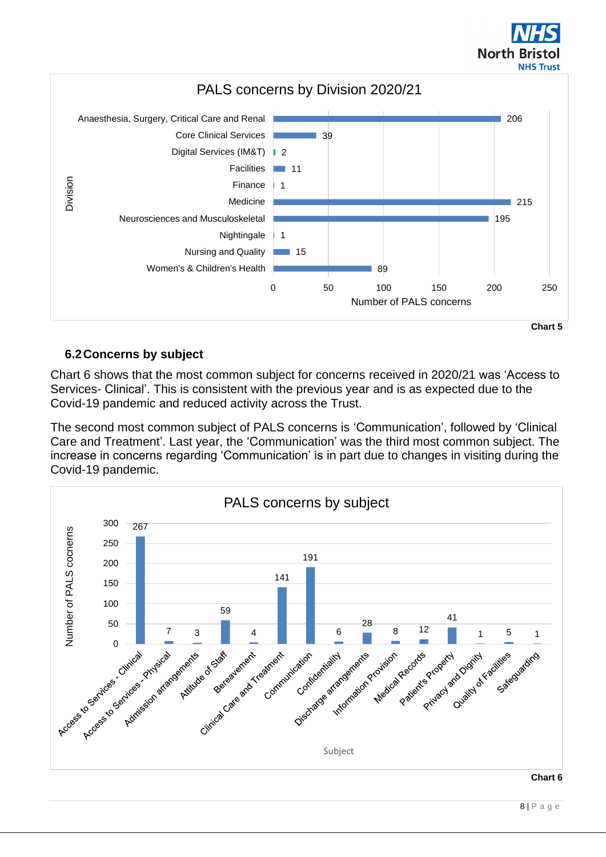



## **6.2Concerns by subject**

Chart 6 shows that the most common subject for concerns received in 2020/21 was 'Access to Services- Clinical'. This is consistent with the previous year and is as expected due to the Covid-19 pandemic and reduced activity across the Trust.

The second most common subject of PALS concerns is 'Communication', followed by 'Clinical Care and Treatment'. Last year, the 'Communication' was the third most common subject. The increase in concerns regarding 'Communication' is in part due to changes in visiting during the Covid-19 pandemic.

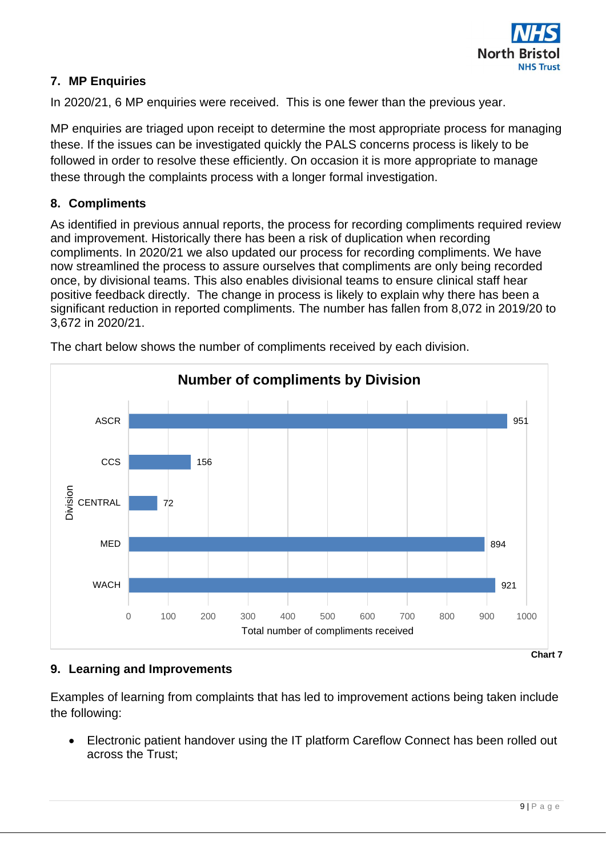

# **7. MP Enquiries**

In 2020/21, 6 MP enquiries were received. This is one fewer than the previous year.

MP enquiries are triaged upon receipt to determine the most appropriate process for managing these. If the issues can be investigated quickly the PALS concerns process is likely to be followed in order to resolve these efficiently. On occasion it is more appropriate to manage these through the complaints process with a longer formal investigation.

## **8. Compliments**

As identified in previous annual reports, the process for recording compliments required review and improvement. Historically there has been a risk of duplication when recording compliments. In 2020/21 we also updated our process for recording compliments. We have now streamlined the process to assure ourselves that compliments are only being recorded once, by divisional teams. This also enables divisional teams to ensure clinical staff hear positive feedback directly. The change in process is likely to explain why there has been a significant reduction in reported compliments. The number has fallen from 8,072 in 2019/20 to 3,672 in 2020/21.



The chart below shows the number of compliments received by each division.

# **9. Learning and Improvements**

Examples of learning from complaints that has led to improvement actions being taken include the following:

• Electronic patient handover using the IT platform Careflow Connect has been rolled out across the Trust;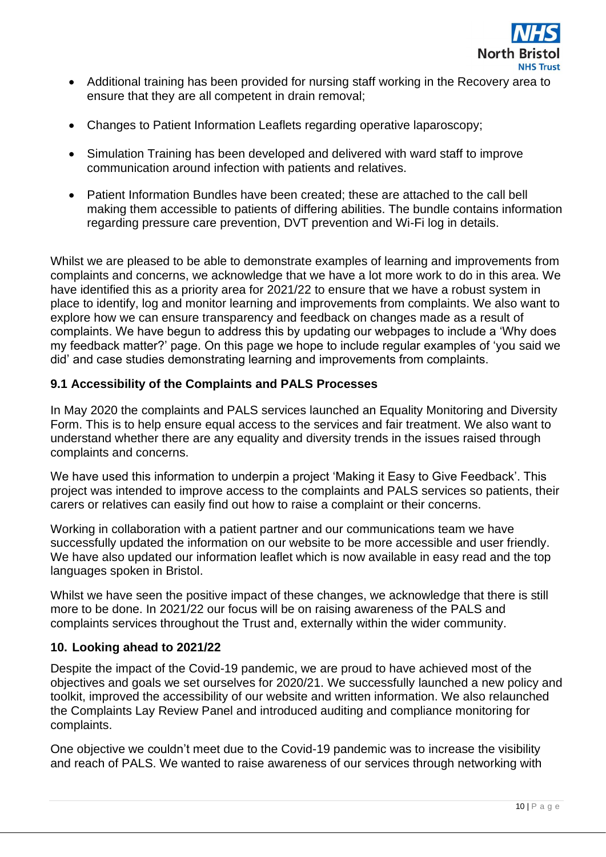

- Additional training has been provided for nursing staff working in the Recovery area to ensure that they are all competent in drain removal;
- Changes to Patient Information Leaflets regarding operative laparoscopy;
- Simulation Training has been developed and delivered with ward staff to improve communication around infection with patients and relatives.
- Patient Information Bundles have been created; these are attached to the call bell making them accessible to patients of differing abilities. The bundle contains information regarding pressure care prevention, DVT prevention and Wi-Fi log in details.

Whilst we are pleased to be able to demonstrate examples of learning and improvements from complaints and concerns, we acknowledge that we have a lot more work to do in this area. We have identified this as a priority area for 2021/22 to ensure that we have a robust system in place to identify, log and monitor learning and improvements from complaints. We also want to explore how we can ensure transparency and feedback on changes made as a result of complaints. We have begun to address this by updating our webpages to include a 'Why does my feedback matter?' page. On this page we hope to include regular examples of 'you said we did' and case studies demonstrating learning and improvements from complaints.

#### **9.1 Accessibility of the Complaints and PALS Processes**

In May 2020 the complaints and PALS services launched an Equality Monitoring and Diversity Form. This is to help ensure equal access to the services and fair treatment. We also want to understand whether there are any equality and diversity trends in the issues raised through complaints and concerns.

We have used this information to underpin a project 'Making it Easy to Give Feedback'. This project was intended to improve access to the complaints and PALS services so patients, their carers or relatives can easily find out how to raise a complaint or their concerns.

Working in collaboration with a patient partner and our communications team we have successfully updated the information on our website to be more accessible and user friendly. We have also updated our information leaflet which is now available in easy read and the top languages spoken in Bristol.

Whilst we have seen the positive impact of these changes, we acknowledge that there is still more to be done. In 2021/22 our focus will be on raising awareness of the PALS and complaints services throughout the Trust and, externally within the wider community.

#### **10. Looking ahead to 2021/22**

Despite the impact of the Covid-19 pandemic, we are proud to have achieved most of the objectives and goals we set ourselves for 2020/21. We successfully launched a new policy and toolkit, improved the accessibility of our website and written information. We also relaunched the Complaints Lay Review Panel and introduced auditing and compliance monitoring for complaints.

One objective we couldn't meet due to the Covid-19 pandemic was to increase the visibility and reach of PALS. We wanted to raise awareness of our services through networking with